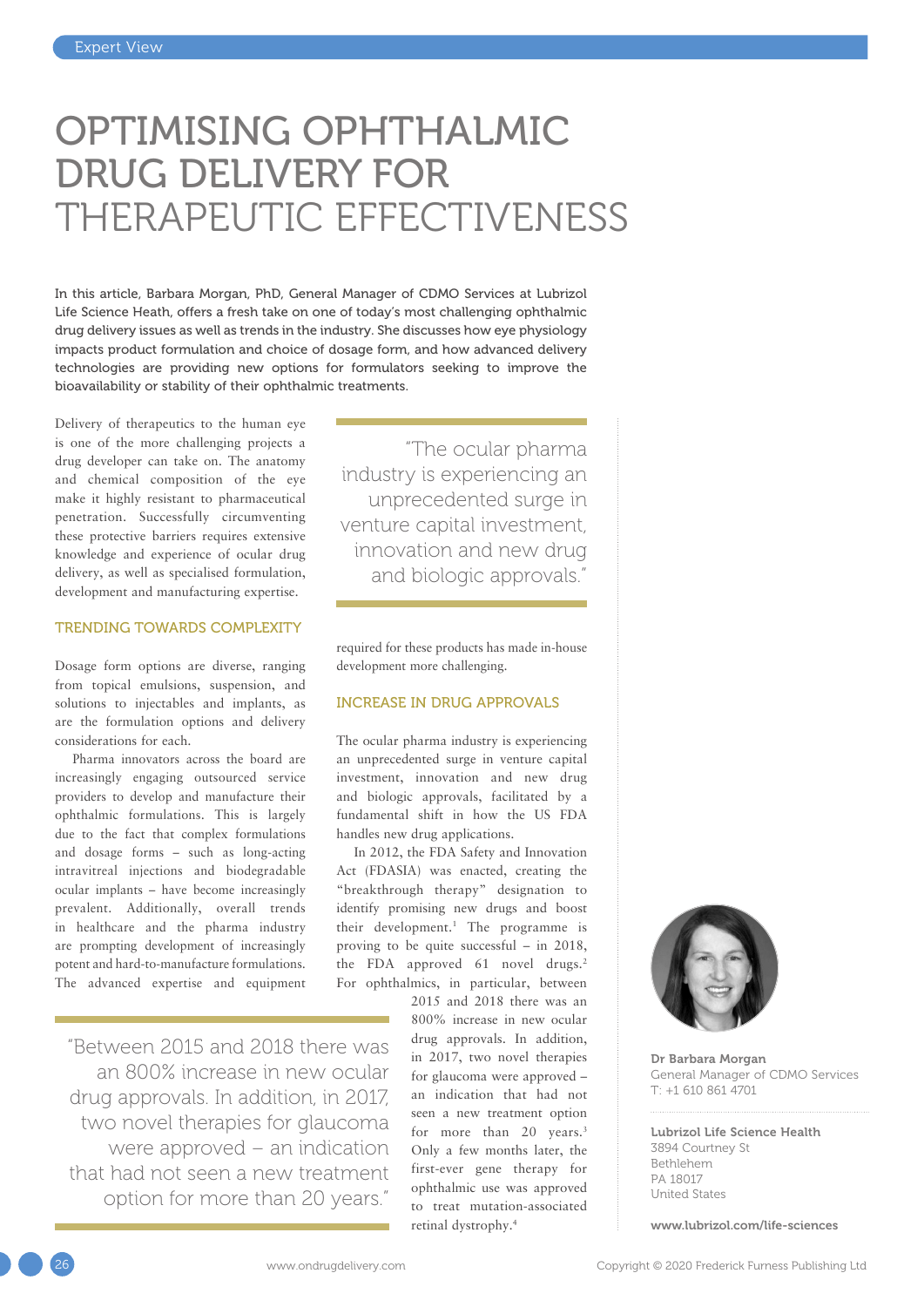# OPTIMISING OPHTHALMIC DRUG DELIVERY FOR THERAPEUTIC EFFECTIVENESS

In this article, Barbara Morgan, PhD, General Manager of CDMO Services at Lubrizol Life Science Heath, offers a fresh take on one of today's most challenging ophthalmic drug delivery issues as well as trends in the industry. She discusses how eye physiology impacts product formulation and choice of dosage form, and how advanced delivery technologies are providing new options for formulators seeking to improve the bioavailability or stability of their ophthalmic treatments.

Delivery of therapeutics to the human eye is one of the more challenging projects a drug developer can take on. The anatomy and chemical composition of the eye make it highly resistant to pharmaceutical penetration. Successfully circumventing these protective barriers requires extensive knowledge and experience of ocular drug delivery, as well as specialised formulation, development and manufacturing expertise.

#### TRENDING TOWARDS COMPLEXITY

Dosage form options are diverse, ranging from topical emulsions, suspension, and solutions to injectables and implants, as are the formulation options and delivery considerations for each.

Pharma innovators across the board are increasingly engaging outsourced service providers to develop and manufacture their ophthalmic formulations. This is largely due to the fact that complex formulations and dosage forms – such as long-acting intravitreal injections and biodegradable ocular implants – have become increasingly prevalent. Additionally, overall trends in healthcare and the pharma industry are prompting development of increasingly potent and hard-to-manufacture formulations. The advanced expertise and equipment

"Between 2015 and 2018 there was an 800% increase in new ocular drug approvals. In addition, in 2017, two novel therapies for glaucoma were approved – an indication that had not seen a new treatment option for more than 20 years."

"The ocular pharma industry is experiencing an unprecedented surge in venture capital investment, innovation and new drug and biologic approvals."

required for these products has made in-house development more challenging.

#### INCREASE IN DRUG APPROVALS

The ocular pharma industry is experiencing an unprecedented surge in venture capital investment, innovation and new drug and biologic approvals, facilitated by a fundamental shift in how the US FDA handles new drug applications.

In 2012, the FDA Safety and Innovation Act (FDASIA) was enacted, creating the "breakthrough therapy" designation to identify promising new drugs and boost their development.<sup>1</sup> The programme is proving to be quite successful – in 2018, the FDA approved 61 novel drugs.<sup>2</sup> For ophthalmics, in particular, between

2015 and 2018 there was an 800% increase in new ocular drug approvals. In addition, in 2017, two novel therapies for glaucoma were approved – an indication that had not seen a new treatment option for more than 20 years.<sup>3</sup> Only a few months later, the first-ever gene therapy for ophthalmic use was approved to treat mutation-associated retinal dystrophy.4



Dr Barbara Morgan General Manager of CDMO Services T: +1 610 861 4701

Lubrizol Life Science Health 3894 Courtney St Bethlehem PA 18017 United States

[www.lubrizol.com/life-sciences](http://www.lubrizol.com/life-sciences)



26 www.ondrugdelivery.com Copyright © 2020 Frederick Furness Publishing Ltd